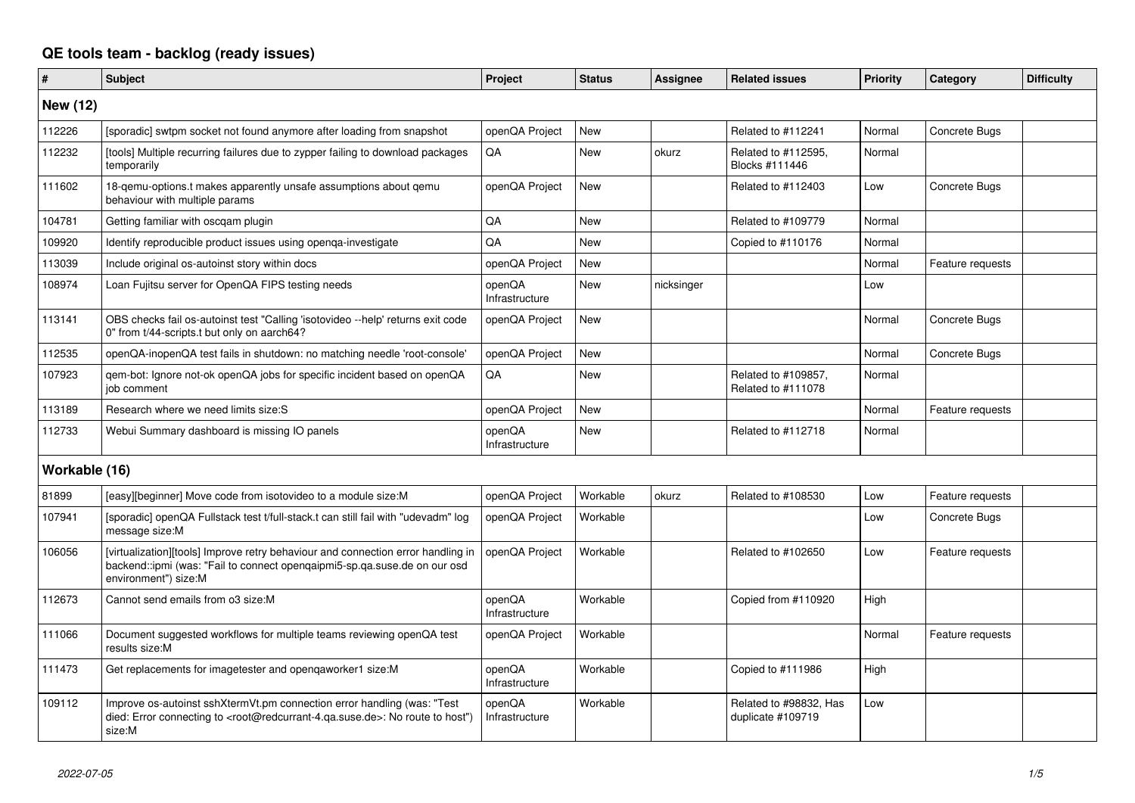## **QE tools team - backlog (ready issues)**

| #               | <b>Subject</b>                                                                                                                                                                                    | Project                  | <b>Status</b> | <b>Assignee</b> | <b>Related issues</b>                       | <b>Priority</b> | Category         | <b>Difficulty</b> |
|-----------------|---------------------------------------------------------------------------------------------------------------------------------------------------------------------------------------------------|--------------------------|---------------|-----------------|---------------------------------------------|-----------------|------------------|-------------------|
| <b>New (12)</b> |                                                                                                                                                                                                   |                          |               |                 |                                             |                 |                  |                   |
| 112226          | [sporadic] swtpm socket not found anymore after loading from snapshot                                                                                                                             | openQA Project           | New           |                 | Related to #112241                          | Normal          | Concrete Bugs    |                   |
| 112232          | [tools] Multiple recurring failures due to zypper failing to download packages<br>temporarily                                                                                                     | QA                       | New           | okurz           | Related to #112595,<br>Blocks #111446       | Normal          |                  |                   |
| 111602          | 18-gemu-options.t makes apparently unsafe assumptions about gemu<br>behaviour with multiple params                                                                                                | openQA Project           | New           |                 | Related to #112403                          | Low             | Concrete Bugs    |                   |
| 104781          | Getting familiar with oscgam plugin                                                                                                                                                               | <b>OA</b>                | New           |                 | Related to #109779                          | Normal          |                  |                   |
| 109920          | Identify reproducible product issues using openga-investigate                                                                                                                                     | QA                       | New           |                 | Copied to #110176                           | Normal          |                  |                   |
| 113039          | Include original os-autoinst story within docs                                                                                                                                                    | openQA Project           | New           |                 |                                             | Normal          | Feature requests |                   |
| 108974          | Loan Fujitsu server for OpenQA FIPS testing needs                                                                                                                                                 | openQA<br>Infrastructure | New           | nicksinger      |                                             | Low             |                  |                   |
| 113141          | OBS checks fail os-autoinst test "Calling 'isotovideo --help' returns exit code<br>0" from t/44-scripts.t but only on aarch64?                                                                    | openQA Project           | New           |                 |                                             | Normal          | Concrete Bugs    |                   |
| 112535          | openQA-inopenQA test fails in shutdown: no matching needle 'root-console'                                                                                                                         | openQA Project           | <b>New</b>    |                 |                                             | Normal          | Concrete Bugs    |                   |
| 107923          | gem-bot: Ignore not-ok openQA jobs for specific incident based on openQA<br>job comment                                                                                                           | QA                       | New           |                 | Related to #109857,<br>Related to #111078   | Normal          |                  |                   |
| 113189          | Research where we need limits size:S                                                                                                                                                              | openQA Project           | <b>New</b>    |                 |                                             | Normal          | Feature requests |                   |
| 112733          | Webui Summary dashboard is missing IO panels                                                                                                                                                      | openQA<br>Infrastructure | <b>New</b>    |                 | Related to #112718                          | Normal          |                  |                   |
| Workable (16)   |                                                                                                                                                                                                   |                          |               |                 |                                             |                 |                  |                   |
| 81899           | [easy][beginner] Move code from isotovideo to a module size: M                                                                                                                                    | openQA Project           | Workable      | okurz           | Related to #108530                          | Low             | Feature requests |                   |
| 107941          | [sporadic] openQA Fullstack test t/full-stack.t can still fail with "udevadm" log<br>message size:M                                                                                               | openQA Project           | Workable      |                 |                                             | Low             | Concrete Bugs    |                   |
| 106056          | [virtualization][tools] Improve retry behaviour and connection error handling in<br>backend::ipmi (was: "Fail to connect opengaipmi5-sp.ga.suse.de on our osd<br>environment") size:M             | openQA Project           | Workable      |                 | Related to #102650                          | Low             | Feature requests |                   |
| 112673          | Cannot send emails from o3 size:M                                                                                                                                                                 | openQA<br>Infrastructure | Workable      |                 | Copied from #110920                         | High            |                  |                   |
| 111066          | Document suggested workflows for multiple teams reviewing openQA test<br>results size:M                                                                                                           | openQA Project           | Workable      |                 |                                             | Normal          | Feature requests |                   |
| 111473          | Get replacements for imagetester and opengaworker1 size:M                                                                                                                                         | openQA<br>Infrastructure | Workable      |                 | Copied to #111986                           | High            |                  |                   |
| 109112          | Improve os-autoinst sshXtermVt.pm connection error handling (was: "Test<br>died: Error connecting to <root@redcurrant-4.qa.suse.de>: No route to host")<br/>size:M</root@redcurrant-4.qa.suse.de> | openQA<br>Infrastructure | Workable      |                 | Related to #98832, Has<br>duplicate #109719 | Low             |                  |                   |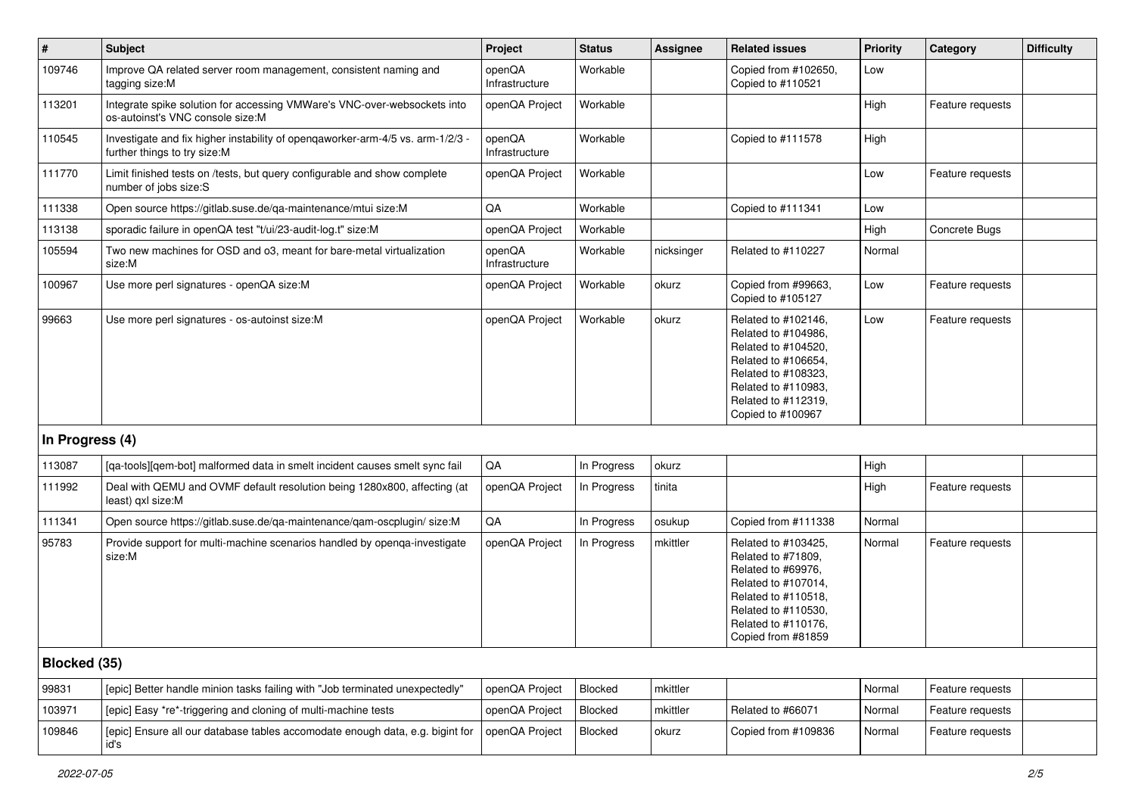| $\#$            | <b>Subject</b>                                                                                                 | Project                  | <b>Status</b> | Assignee   | <b>Related issues</b>                                                                                                                                                              | <b>Priority</b> | Category         | <b>Difficulty</b> |
|-----------------|----------------------------------------------------------------------------------------------------------------|--------------------------|---------------|------------|------------------------------------------------------------------------------------------------------------------------------------------------------------------------------------|-----------------|------------------|-------------------|
| 109746          | Improve QA related server room management, consistent naming and<br>tagging size:M                             | openQA<br>Infrastructure | Workable      |            | Copied from #102650,<br>Copied to #110521                                                                                                                                          | Low             |                  |                   |
| 113201          | Integrate spike solution for accessing VMWare's VNC-over-websockets into<br>os-autoinst's VNC console size:M   | openQA Project           | Workable      |            |                                                                                                                                                                                    | High            | Feature requests |                   |
| 110545          | Investigate and fix higher instability of openqaworker-arm-4/5 vs. arm-1/2/3 -<br>further things to try size:M | openQA<br>Infrastructure | Workable      |            | Copied to #111578                                                                                                                                                                  | High            |                  |                   |
| 111770          | Limit finished tests on /tests, but query configurable and show complete<br>number of jobs size:S              | openQA Project           | Workable      |            |                                                                                                                                                                                    | Low             | Feature requests |                   |
| 111338          | Open source https://gitlab.suse.de/ga-maintenance/mtui size:M                                                  | QA                       | Workable      |            | Copied to #111341                                                                                                                                                                  | Low             |                  |                   |
| 113138          | sporadic failure in openQA test "t/ui/23-audit-log.t" size:M                                                   | openQA Project           | Workable      |            |                                                                                                                                                                                    | High            | Concrete Bugs    |                   |
| 105594          | Two new machines for OSD and o3, meant for bare-metal virtualization<br>size:M                                 | openQA<br>Infrastructure | Workable      | nicksinger | Related to #110227                                                                                                                                                                 | Normal          |                  |                   |
| 100967          | Use more perl signatures - openQA size:M                                                                       | openQA Project           | Workable      | okurz      | Copied from #99663,<br>Copied to #105127                                                                                                                                           | Low             | Feature requests |                   |
| 99663           | Use more perl signatures - os-autoinst size:M                                                                  | openQA Project           | Workable      | okurz      | Related to #102146,<br>Related to #104986,<br>Related to #104520,<br>Related to #106654,<br>Related to #108323,<br>Related to #110983.<br>Related to #112319,<br>Copied to #100967 | Low             | Feature requests |                   |
| In Progress (4) |                                                                                                                |                          |               |            |                                                                                                                                                                                    |                 |                  |                   |
| 113087          | [qa-tools][qem-bot] malformed data in smelt incident causes smelt sync fail                                    | QA                       | In Progress   | okurz      |                                                                                                                                                                                    | High            |                  |                   |
| 111992          | Deal with QEMU and OVMF default resolution being 1280x800, affecting (at<br>least) gxl size:M                  | openQA Project           | In Progress   | tinita     |                                                                                                                                                                                    | High            | Feature requests |                   |
| 111341          | Open source https://gitlab.suse.de/qa-maintenance/qam-oscplugin/ size:M                                        | QA                       | In Progress   | osukup     | Copied from #111338                                                                                                                                                                | Normal          |                  |                   |
| 95783           | Provide support for multi-machine scenarios handled by openga-investigate<br>size:M                            | openQA Project           | In Progress   | mkittler   | Related to #103425,<br>Related to #71809,<br>Related to #69976,<br>Related to #107014,<br>Related to #110518,<br>Related to #110530,<br>Related to #110176,<br>Copied from #81859  | Normal          | Feature requests |                   |
| Blocked (35)    |                                                                                                                |                          |               |            |                                                                                                                                                                                    |                 |                  |                   |
| 99831           | [epic] Better handle minion tasks failing with "Job terminated unexpectedly"                                   | openQA Project           | Blocked       | mkittler   |                                                                                                                                                                                    | Normal          | Feature requests |                   |
| 103971          | [epic] Easy *re*-triggering and cloning of multi-machine tests                                                 | openQA Project           | Blocked       | mkittler   | Related to #66071                                                                                                                                                                  | Normal          | Feature requests |                   |
| 109846          | [epic] Ensure all our database tables accomodate enough data, e.g. bigint for<br>id's                          | openQA Project           | Blocked       | okurz      | Copied from #109836                                                                                                                                                                | Normal          | Feature requests |                   |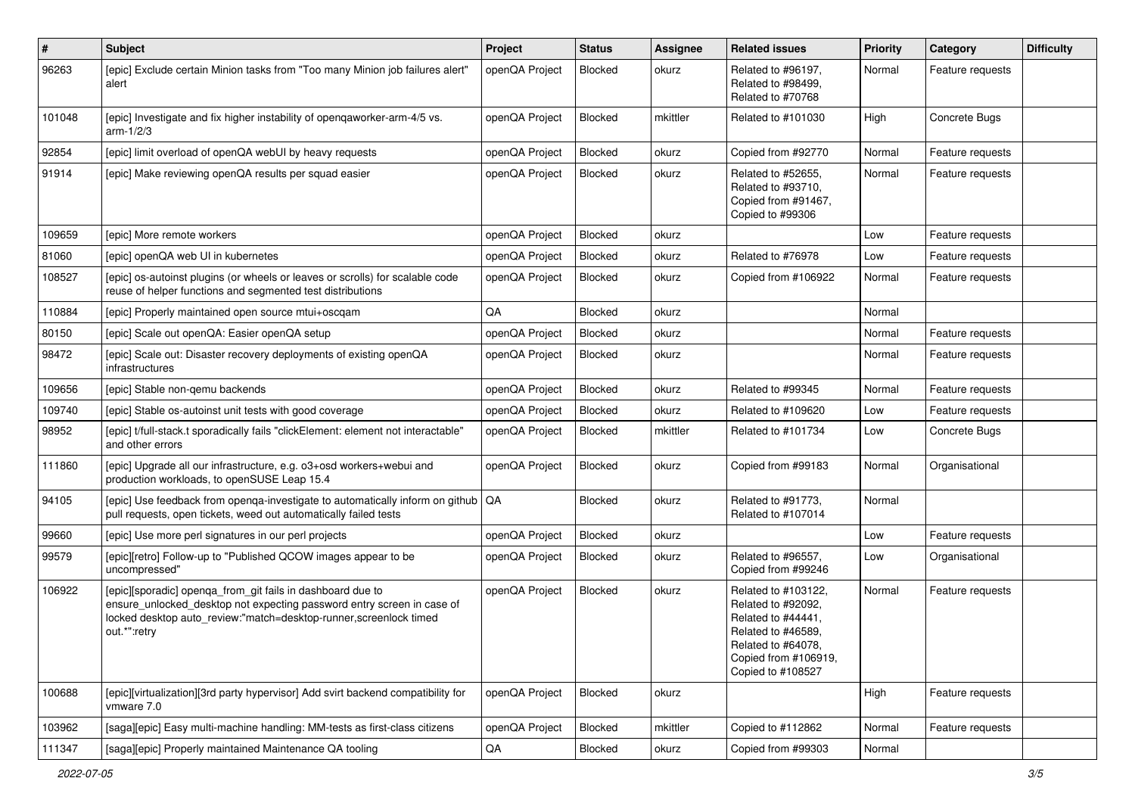| $\sharp$ | Subject                                                                                                                                                                                                                    | Project        | <b>Status</b>  | <b>Assignee</b> | <b>Related issues</b>                                                                                                                                    | Priority | Category         | <b>Difficulty</b> |
|----------|----------------------------------------------------------------------------------------------------------------------------------------------------------------------------------------------------------------------------|----------------|----------------|-----------------|----------------------------------------------------------------------------------------------------------------------------------------------------------|----------|------------------|-------------------|
| 96263    | [epic] Exclude certain Minion tasks from "Too many Minion job failures alert"<br>alert                                                                                                                                     | openQA Project | <b>Blocked</b> | okurz           | Related to #96197,<br>Related to #98499.<br>Related to #70768                                                                                            | Normal   | Feature requests |                   |
| 101048   | [epic] Investigate and fix higher instability of openqaworker-arm-4/5 vs.<br>arm-1/2/3                                                                                                                                     | openQA Project | Blocked        | mkittler        | Related to #101030                                                                                                                                       | High     | Concrete Bugs    |                   |
| 92854    | [epic] limit overload of openQA webUI by heavy requests                                                                                                                                                                    | openQA Project | Blocked        | okurz           | Copied from #92770                                                                                                                                       | Normal   | Feature requests |                   |
| 91914    | [epic] Make reviewing openQA results per squad easier                                                                                                                                                                      | openQA Project | Blocked        | okurz           | Related to #52655,<br>Related to #93710.<br>Copied from #91467,<br>Copied to #99306                                                                      | Normal   | Feature requests |                   |
| 109659   | [epic] More remote workers                                                                                                                                                                                                 | openQA Project | Blocked        | okurz           |                                                                                                                                                          | Low      | Feature requests |                   |
| 81060    | [epic] openQA web UI in kubernetes                                                                                                                                                                                         | openQA Project | <b>Blocked</b> | okurz           | Related to #76978                                                                                                                                        | Low      | Feature requests |                   |
| 108527   | [epic] os-autoinst plugins (or wheels or leaves or scrolls) for scalable code<br>reuse of helper functions and segmented test distributions                                                                                | openQA Project | Blocked        | okurz           | Copied from #106922                                                                                                                                      | Normal   | Feature requests |                   |
| 110884   | [epic] Properly maintained open source mtui+oscqam                                                                                                                                                                         | QA             | Blocked        | okurz           |                                                                                                                                                          | Normal   |                  |                   |
| 80150    | [epic] Scale out openQA: Easier openQA setup                                                                                                                                                                               | openQA Project | Blocked        | okurz           |                                                                                                                                                          | Normal   | Feature requests |                   |
| 98472    | [epic] Scale out: Disaster recovery deployments of existing openQA<br>infrastructures                                                                                                                                      | openQA Project | Blocked        | okurz           |                                                                                                                                                          | Normal   | Feature requests |                   |
| 109656   | [epic] Stable non-gemu backends                                                                                                                                                                                            | openQA Project | Blocked        | okurz           | Related to #99345                                                                                                                                        | Normal   | Feature requests |                   |
| 109740   | [epic] Stable os-autoinst unit tests with good coverage                                                                                                                                                                    | openQA Project | <b>Blocked</b> | okurz           | Related to #109620                                                                                                                                       | Low      | Feature requests |                   |
| 98952    | [epic] t/full-stack.t sporadically fails "clickElement: element not interactable"<br>and other errors                                                                                                                      | openQA Project | Blocked        | mkittler        | Related to #101734                                                                                                                                       | Low      | Concrete Bugs    |                   |
| 111860   | [epic] Upgrade all our infrastructure, e.g. o3+osd workers+webui and<br>production workloads, to openSUSE Leap 15.4                                                                                                        | openQA Project | Blocked        | okurz           | Copied from #99183                                                                                                                                       | Normal   | Organisational   |                   |
| 94105    | [epic] Use feedback from openga-investigate to automatically inform on github   QA<br>pull requests, open tickets, weed out automatically failed tests                                                                     |                | Blocked        | okurz           | Related to #91773,<br>Related to #107014                                                                                                                 | Normal   |                  |                   |
| 99660    | [epic] Use more perl signatures in our perl projects                                                                                                                                                                       | openQA Project | Blocked        | okurz           |                                                                                                                                                          | Low      | Feature requests |                   |
| 99579    | [epic][retro] Follow-up to "Published QCOW images appear to be<br>uncompressed"                                                                                                                                            | openQA Project | Blocked        | okurz           | Related to #96557,<br>Copied from #99246                                                                                                                 | Low      | Organisational   |                   |
| 106922   | [epic][sporadic] openqa_from_git fails in dashboard due to<br>ensure_unlocked_desktop not expecting password entry screen in case of<br>locked desktop auto review:"match=desktop-runner, screenlock timed<br>out.*":retry | openQA Project | <b>Blocked</b> | okurz           | Related to #103122.<br>Related to #92092,<br>Related to #44441,<br>Related to #46589.<br>Related to #64078,<br>Copied from #106919.<br>Copied to #108527 | Normal   | Feature requests |                   |
| 100688   | [epic][virtualization][3rd party hypervisor] Add svirt backend compatibility for<br>vmware 7.0                                                                                                                             | openQA Project | Blocked        | okurz           |                                                                                                                                                          | High     | Feature requests |                   |
| 103962   | [saga][epic] Easy multi-machine handling: MM-tests as first-class citizens                                                                                                                                                 | openQA Project | Blocked        | mkittler        | Copied to #112862                                                                                                                                        | Normal   | Feature requests |                   |
| 111347   | [saga][epic] Properly maintained Maintenance QA tooling                                                                                                                                                                    | $\mathsf{QA}$  | Blocked        | okurz           | Copied from #99303                                                                                                                                       | Normal   |                  |                   |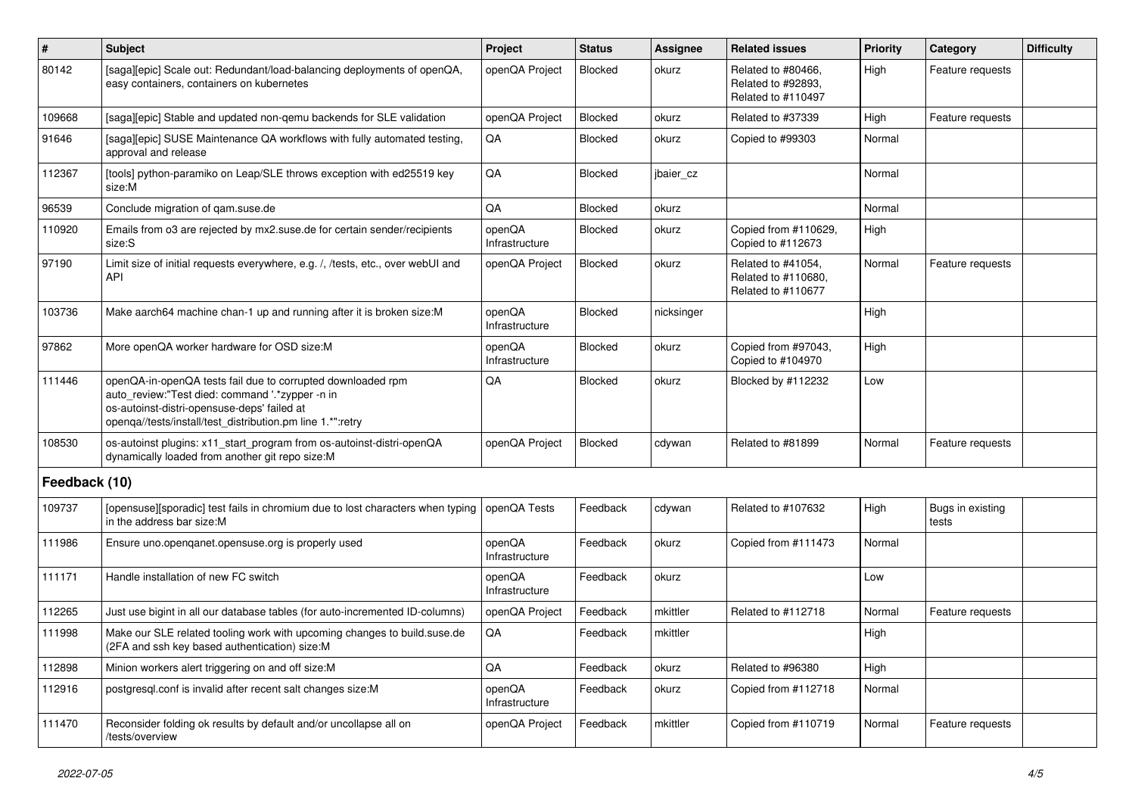| $\vert$ #     | <b>Subject</b>                                                                                                                                                                                                              | Project                  | <b>Status</b>  | <b>Assignee</b> | <b>Related issues</b>                                           | <b>Priority</b> | Category                  | <b>Difficulty</b> |
|---------------|-----------------------------------------------------------------------------------------------------------------------------------------------------------------------------------------------------------------------------|--------------------------|----------------|-----------------|-----------------------------------------------------------------|-----------------|---------------------------|-------------------|
| 80142         | [saga][epic] Scale out: Redundant/load-balancing deployments of openQA,<br>easy containers, containers on kubernetes                                                                                                        | openQA Project           | <b>Blocked</b> | okurz           | Related to #80466,<br>Related to #92893.<br>Related to #110497  | High            | Feature requests          |                   |
| 109668        | [saga][epic] Stable and updated non-qemu backends for SLE validation                                                                                                                                                        | openQA Project           | <b>Blocked</b> | okurz           | Related to #37339                                               | High            | Feature requests          |                   |
| 91646         | [saga][epic] SUSE Maintenance QA workflows with fully automated testing,<br>approval and release                                                                                                                            | QA                       | <b>Blocked</b> | okurz           | Copied to #99303                                                | Normal          |                           |                   |
| 112367        | [tools] python-paramiko on Leap/SLE throws exception with ed25519 key<br>size:M                                                                                                                                             | QA                       | Blocked        | jbaier_cz       |                                                                 | Normal          |                           |                   |
| 96539         | Conclude migration of gam.suse.de                                                                                                                                                                                           | QA                       | Blocked        | okurz           |                                                                 | Normal          |                           |                   |
| 110920        | Emails from o3 are rejected by mx2.suse.de for certain sender/recipients<br>size:S                                                                                                                                          | openQA<br>Infrastructure | Blocked        | okurz           | Copied from #110629,<br>Copied to #112673                       | High            |                           |                   |
| 97190         | Limit size of initial requests everywhere, e.g. /, /tests, etc., over webUI and<br>API                                                                                                                                      | openQA Project           | Blocked        | okurz           | Related to #41054,<br>Related to #110680,<br>Related to #110677 | Normal          | Feature requests          |                   |
| 103736        | Make aarch64 machine chan-1 up and running after it is broken size:M                                                                                                                                                        | openQA<br>Infrastructure | <b>Blocked</b> | nicksinger      |                                                                 | High            |                           |                   |
| 97862         | More openQA worker hardware for OSD size:M                                                                                                                                                                                  | openQA<br>Infrastructure | <b>Blocked</b> | okurz           | Copied from #97043,<br>Copied to #104970                        | High            |                           |                   |
| 111446        | openQA-in-openQA tests fail due to corrupted downloaded rpm<br>auto_review:"Test died: command '.*zypper -n in<br>os-autoinst-distri-opensuse-deps' failed at<br>openga//tests/install/test_distribution.pm line 1.*":retry | QA                       | Blocked        | okurz           | Blocked by #112232                                              | Low             |                           |                   |
| 108530        | os-autoinst plugins: x11_start_program from os-autoinst-distri-openQA<br>dynamically loaded from another git repo size:M                                                                                                    | openQA Project           | <b>Blocked</b> | cdywan          | Related to #81899                                               | Normal          | Feature requests          |                   |
| Feedback (10) |                                                                                                                                                                                                                             |                          |                |                 |                                                                 |                 |                           |                   |
| 109737        | [opensuse][sporadic] test fails in chromium due to lost characters when typing<br>in the address bar size:M                                                                                                                 | openQA Tests             | Feedback       | cdywan          | Related to #107632                                              | High            | Bugs in existing<br>tests |                   |
| 111986        | Ensure uno.openganet.opensuse.org is properly used                                                                                                                                                                          | openQA<br>Infrastructure | Feedback       | okurz           | Copied from #111473                                             | Normal          |                           |                   |
| 111171        | Handle installation of new FC switch                                                                                                                                                                                        | openQA<br>Infrastructure | Feedback       | okurz           |                                                                 | Low             |                           |                   |
| 112265        | Just use bigint in all our database tables (for auto-incremented ID-columns)                                                                                                                                                | openQA Project           | Feedback       | mkittler        | Related to #112718                                              | Normal          | Feature requests          |                   |
| 111998        | Make our SLE related tooling work with upcoming changes to build suse de<br>(2FA and ssh key based authentication) size:M                                                                                                   | QA                       | Feedback       | mkittler        |                                                                 | High            |                           |                   |
| 112898        | Minion workers alert triggering on and off size:M                                                                                                                                                                           | QA                       | Feedback       | okurz           | Related to #96380                                               | High            |                           |                   |
| 112916        | postgresql.conf is invalid after recent salt changes size:M                                                                                                                                                                 | openQA<br>Infrastructure | Feedback       | okurz           | Copied from #112718                                             | Normal          |                           |                   |
| 111470        | Reconsider folding ok results by default and/or uncollapse all on<br>/tests/overview                                                                                                                                        | openQA Project           | Feedback       | mkittler        | Copied from #110719                                             | Normal          | Feature requests          |                   |